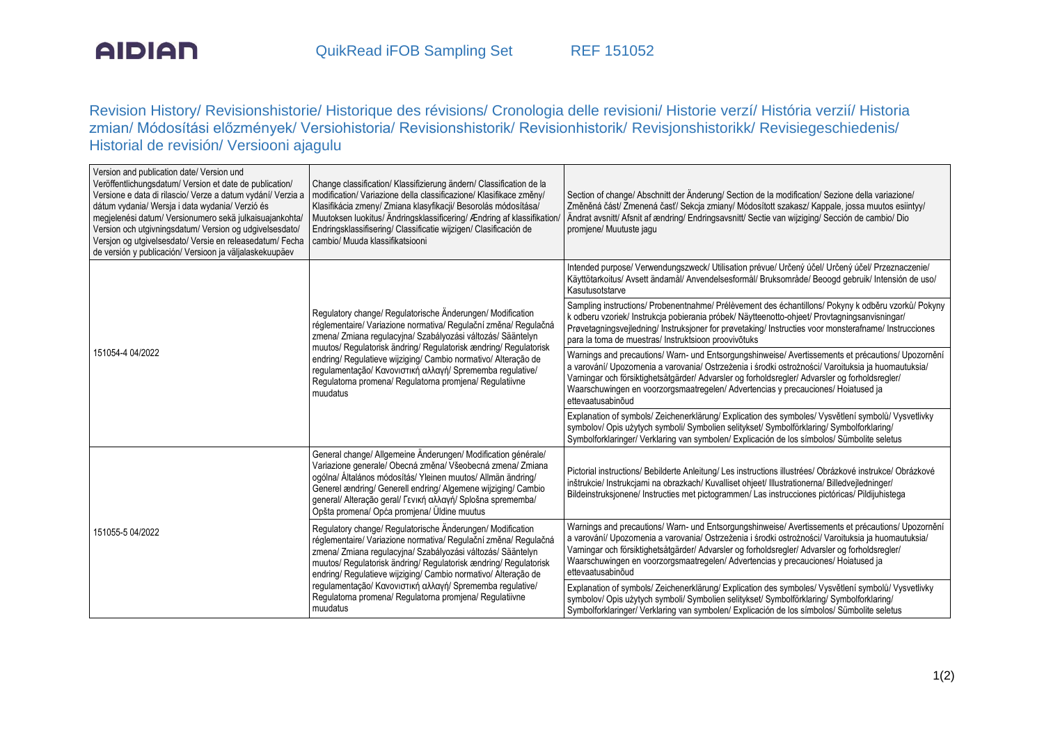

Revision History/ Revisionshistorie/ Historique des révisions/ Cronologia delle revisioni/ Historie verzí/ História verzií/ Historia zmian/ Módosítási előzmények/ Versiohistoria/ Revisionshistorik/ Revisionhistorik/ Revisjonshistorikk/ Revisiegeschiedenis/ Historial de revisión/ Versiooni ajagulu

| Version and publication date/ Version und<br>Veröffentlichungsdatum/ Version et date de publication/<br>Versione e data di rilascio/ Verze a datum vydání/ Verzia a<br>dátum vydania/ Wersja i data wydania/ Verzió és<br>megjelenési datum/ Versionumero sekä julkaisuajankohta/<br>Version och utgivningsdatum/ Version og udgivelsesdato/<br>Version og utgivelsesdato/ Versie en releasedatum/ Fecha<br>de versión y publicación/ Versioon ja väljalaskekuupäev | Change classification/ Klassifizierung ändern/ Classification de la<br>modification/ Variazione della classificazione/ Klasifikace změny/<br>Klasifikácia zmeny/ Zmiana klasyfikacji/ Besorolás módosítása/<br>Muutoksen luokitus/ Ändringsklassificering/ Ændring af klassifikation/<br>Endringsklassifisering/ Classificatie wijzigen/ Clasificación de<br>cambio/ Muuda klassifikatsiooni                                                                           | Section of change/ Abschnitt der Änderung/ Section de la modification/ Sezione della variazione/<br>Změněná část/ Zmenená časť/ Sekcja zmiany/ Módosított szakasz/ Kappale, jossa muutos esiintyy/<br>Ändrat avsnitt/ Afsnit af ændring/ Endringsavsnitt/ Sectie van wijziging/ Sección de cambio/ Dio<br>promjene/ Muutuste jagu                                                                                    |  |  |
|---------------------------------------------------------------------------------------------------------------------------------------------------------------------------------------------------------------------------------------------------------------------------------------------------------------------------------------------------------------------------------------------------------------------------------------------------------------------|------------------------------------------------------------------------------------------------------------------------------------------------------------------------------------------------------------------------------------------------------------------------------------------------------------------------------------------------------------------------------------------------------------------------------------------------------------------------|----------------------------------------------------------------------------------------------------------------------------------------------------------------------------------------------------------------------------------------------------------------------------------------------------------------------------------------------------------------------------------------------------------------------|--|--|
| 151054-4 04/2022                                                                                                                                                                                                                                                                                                                                                                                                                                                    | Regulatory change/ Regulatorische Änderungen/ Modification<br>réglementaire/ Variazione normativa/ Regulační změna/ Regulačná<br>zmena/ Zmiana regulacyjna/ Szabályozási változás/ Sääntelyn<br>muutos/ Regulatorisk ändring/ Regulatorisk ændring/ Regulatorisk<br>endring/ Regulatieve wijziging/ Cambio normativo/ Alteração de<br>regulamentação/ Κανονιστική αλλαγή/ Sprememba regulative/<br>Regulatorna promena/ Regulatorna promjena/ Regulatiivne<br>muudatus | Intended purpose/ Verwendungszweck/ Utilisation prévue/ Určený účel/ Určený účel/ Przeznaczenie/<br>Käyttötarkoitus/ Avsett ändamål/ Anvendelsesformål/ Bruksområde/ Beoogd gebruik/ Intensión de uso/<br>Kasutusotstarve                                                                                                                                                                                            |  |  |
|                                                                                                                                                                                                                                                                                                                                                                                                                                                                     |                                                                                                                                                                                                                                                                                                                                                                                                                                                                        | Sampling instructions/ Probenentnahme/ Prélèvement des échantillons/ Pokyny k odběru vzorků/ Pokyny<br>k odberu vzoriek/ Instrukcja pobierania próbek/ Näytteenotto-ohjeet/ Provtagningsanvisningar/<br>Prøvetagningsvejledning/Instruksjoner for prøvetaking/Instructies voor monsterafname/Instrucciones<br>para la toma de muestras/ Instruktsioon proovivõtuks                                                   |  |  |
|                                                                                                                                                                                                                                                                                                                                                                                                                                                                     |                                                                                                                                                                                                                                                                                                                                                                                                                                                                        | Warnings and precautions/ Warn- und Entsorgungshinweise/ Avertissements et précautions/ Upozornění<br>a varování/ Upozomenia a varovania/ Ostrzeżenia i środki ostrożności/ Varoituksia ja huomautuksia/<br>Varningar och försiktighetsåtgärder/ Advarsler og forholdsregler/ Advarsler og forholdsregler/<br>Waarschuwingen en voorzorgsmaatregelen/ Advertencias y precauciones/ Hoiatused ja<br>ettevaatusabinõud |  |  |
|                                                                                                                                                                                                                                                                                                                                                                                                                                                                     |                                                                                                                                                                                                                                                                                                                                                                                                                                                                        | Explanation of symbols/ Zeichenerklärung/ Explication des symboles/ Vysvětlení symbolů/ Vysvetlivky<br>symbolov/ Opis użytych symboli/ Symbolien selitykset/ Symbolförklaring/ Symbolforklaring/<br>Symbolforklaringer/ Verklaring van symbolen/ Explicación de los símbolos/ Sümbolite seletus                                                                                                                      |  |  |
| 151055-5 04/2022                                                                                                                                                                                                                                                                                                                                                                                                                                                    | General change/ Allgemeine Änderungen/ Modification générale/<br>Variazione generale/ Obecná změna/ Všeobecná zmena/ Zmiana<br>ogólna/ Általános módosítás/ Yleinen muutos/ Allmän ändring/<br>Generel ændring/ Generell endring/ Algemene wijziging/ Cambio<br>general/ Alteração geral/ Γενική αλλαγή/ Splošna sprememba/<br>Opšta promena/ Opća promjena/ Üldine muutus                                                                                             | Pictorial instructions/ Bebilderte Anleitung/ Les instructions illustrées/ Obrázkové instrukce/ Obrázkové<br>inštrukcie/ Instrukcjami na obrazkach/ Kuvalliset ohjeet/ Illustrationerna/ Billedvejledninger/<br>Bildeinstruksjonene/ Instructies met pictogrammen/ Las instrucciones pictóricas/ Pildijuhistega                                                                                                      |  |  |
|                                                                                                                                                                                                                                                                                                                                                                                                                                                                     | Regulatory change/ Regulatorische Änderungen/ Modification<br>réglementaire/ Variazione normativa/ Regulační změna/ Regulačná<br>zmena/ Zmiana regulacyjna/ Szabályozási változás/ Sääntelyn<br>muutos/ Regulatorisk ändring/ Regulatorisk ændring/ Regulatorisk<br>endring/ Regulatieve wijziging/ Cambio normativo/ Alteração de                                                                                                                                     | Warnings and precautions/ Warn- und Entsorgungshinweise/ Avertissements et précautions/ Upozornění<br>a varování/ Upozomenia a varovania/ Ostrzeżenia i środki ostrożności/ Varoituksia ja huomautuksia/<br>Varningar och försiktighetsåtgärder/ Advarsler og forholdsregler/ Advarsler og forholdsregler/<br>Waarschuwingen en voorzorgsmaatregelen/Advertencias y precauciones/Hoiatused ja<br>ettevaatusabinõud   |  |  |
|                                                                                                                                                                                                                                                                                                                                                                                                                                                                     | regulamentação/ Κανονιστική αλλαγή/ Sprememba regulative/<br>Regulatorna promena/ Regulatorna promiena/ Regulatiivne<br>muudatus                                                                                                                                                                                                                                                                                                                                       | Explanation of symbols/ Zeichenerklärung/ Explication des symboles/ Vysvětlení symbolů/ Vysvetlivky<br>symbolov/ Opis użytych symboli/ Symbolien selitykset/ Symbolförklaring/ Symbolforklaring/<br>Symbolforklaringer/ Verklaring van symbolen/ Explicación de los símbolos/ Sümbolite seletus                                                                                                                      |  |  |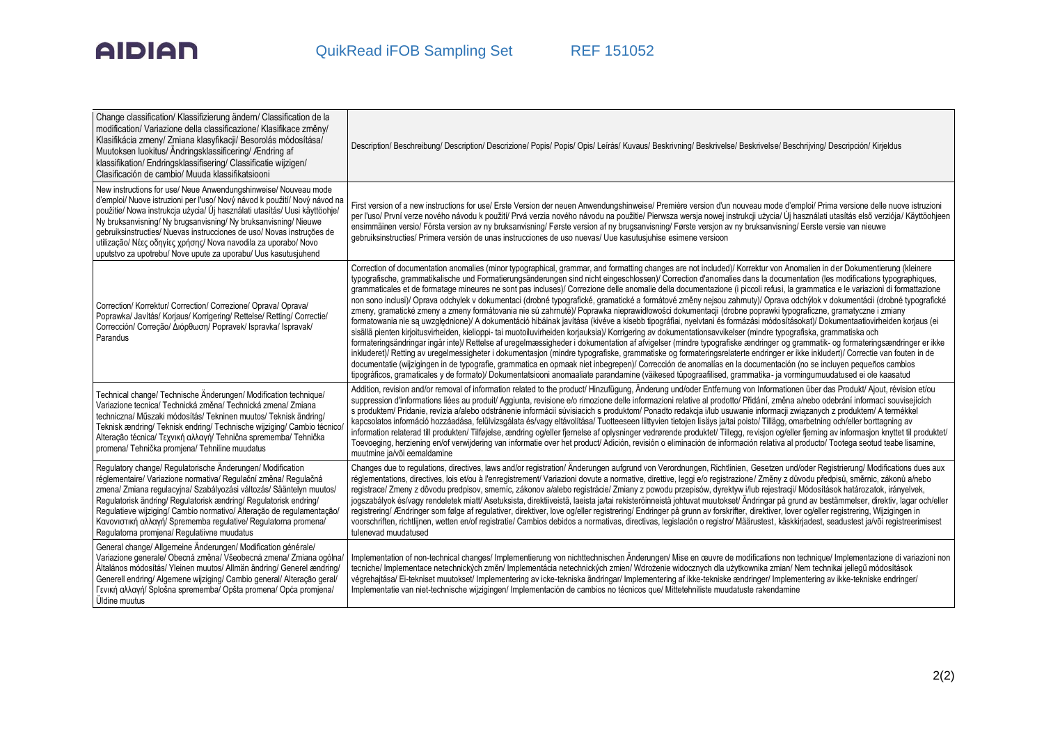## **AIDIAN**

| Change classification/ Klassifizierung ändern/ Classification de la<br>modification/ Variazione della classificazione/ Klasifikace změny/<br>Klasifikácia zmeny/ Zmiana klasyfikacji/ Besorolás módosítása/<br>Muutoksen luokitus/ Ändringsklassificering/ Ændring af<br>klassifikation/ Endringsklassifisering/ Classificatie wijzigen/<br>Clasificación de cambio/ Muuda klassifikatsiooni                                                                                                              | Description/Beschreibung/Description/Descrizione/Popis/Popis/Opis/Leírás/Kuvaus/Beskrivning/Beskrivelse/Beskrivelse/Beschrijving/Descripción/Kirjeldus                                                                                                                                                                                                                                                                                                                                                                                                                                                                                                                                                                                                                                                                                                                                                                                                                                                                                                                                                                                                                                                                                                                                                                                                                                                                                                                                                                                                                                                                                                                                                                                                                                                                                                                                                                                 |
|-----------------------------------------------------------------------------------------------------------------------------------------------------------------------------------------------------------------------------------------------------------------------------------------------------------------------------------------------------------------------------------------------------------------------------------------------------------------------------------------------------------|----------------------------------------------------------------------------------------------------------------------------------------------------------------------------------------------------------------------------------------------------------------------------------------------------------------------------------------------------------------------------------------------------------------------------------------------------------------------------------------------------------------------------------------------------------------------------------------------------------------------------------------------------------------------------------------------------------------------------------------------------------------------------------------------------------------------------------------------------------------------------------------------------------------------------------------------------------------------------------------------------------------------------------------------------------------------------------------------------------------------------------------------------------------------------------------------------------------------------------------------------------------------------------------------------------------------------------------------------------------------------------------------------------------------------------------------------------------------------------------------------------------------------------------------------------------------------------------------------------------------------------------------------------------------------------------------------------------------------------------------------------------------------------------------------------------------------------------------------------------------------------------------------------------------------------------|
| New instructions for use/ Neue Anwendungshinweise/ Nouveau mode<br>ďemploi/ Nuove istruzioni per ľuso/ Nový návod k použití/ Nový návod na<br>použitie/ Nowa instrukcja użycia/ Új használati utasítás/ Uusi käyttöohje/<br>Ny bruksanvisning/ Ny brugsanvisning/ Ny bruksanvisning/ Nieuwe<br>gebruiksinstructies/ Nuevas instrucciones de uso/ Novas instruções de<br>utilização/ Νέες οδηγίες χρήσης/ Nova navodila za uporabo/ Novo<br>uputstvo za upotrebu/ Nove upute za uporabu/ Uus kasutusjuhend | First version of a new instructions for use/ Erste Version der neuen Anwendungshinweise/ Première version d'un nouveau mode d'emploi/ Prima versione delle nuove istruzioni<br>per l'uso/ První verze nového návodu k použití/ Prvá verzia nového návodu na použitie/ Pierwsza wersia nowej instrukcji użycia/ Új használati utasítás első verziója/ Käyttöohieen<br>ensimmäinen versio/ Första version av ny bruksanvisning/ Første version af ny brugsanvisning/ Første versjon av ny bruksanvisning/ Eerste versie van nieuwe<br>gebruiksinstructies/ Primera versión de unas instrucciones de uso nuevas/ Uue kasutusjuhise esimene versioon                                                                                                                                                                                                                                                                                                                                                                                                                                                                                                                                                                                                                                                                                                                                                                                                                                                                                                                                                                                                                                                                                                                                                                                                                                                                                       |
| Correction/ Korrektur/ Correction/ Correzione/ Oprava/ Oprava/<br>Poprawka/ Javítás/ Korjaus/ Korrigering/ Rettelse/ Retting/ Correctie/<br>Corrección/ Correção/ Διόρθωση/ Popravek/ Ispravka/ Ispravak/<br>Parandus                                                                                                                                                                                                                                                                                     | Correction of documentation anomalies (minor typographical, grammar, and formatting changes are not included)/ Korrektur von Anomalien in der Dokumentierung (kleinere<br>typografische, grammatikalische und Formatierungsänderungen sind nicht eingeschlossen)/ Correction d'anomalies dans la documentation (les modifications typographiques,<br>grammaticales et de formatage mineures ne sont pas incluses)/ Correzione delle anomalie della documentazione (i piccoli refusi, la grammatica e le variazioni di formattazione<br>non sono inclusi)/ Oprava odchylek v dokumentaci (drobné typografické, gramatické a formátové změny nejsou zahrnuty)/ Oprava odchýlok v dokumentácii (drobné typografické<br>zmeny, gramatické zmeny a zmeny formátovania nie sú zahmuté)/ Poprawka nieprawidłowości dokumentacji (drobne poprawki typograficzne, gramatyczne i zmiany<br>formatowania nie są uwzględnione)/ A dokumentáció hibáinak javítása (kivéve a kisebb tipográfiai, nyelvtani és formázási módosításokat)/ Dokumentaatiovirheiden korjaus (ei<br>sisällä pienten kirjoitusvirheiden, kielioppi- tai muotoiluvirheiden korjauksia)/ Korrigering av dokumentationsavvikelser (mindre typografiska, grammatiska och<br>formateringsändringar ingår inte)/ Rettelse af uregelmæssigheder i dokumentation af afvigelser (mindre typografiske ændringer og grammatik- og formateringsændringer er ikke<br>inkluderet)/ Retting av uregelmessigheter i dokumentasjon (mindre typografiske, grammatiske og formateringsrelaterte endringer er ikke inkludert)/ Correctie van fouten in de<br>documentatie (wijzigingen in de typografie, grammatica en opmaak niet inbegrepen)/ Corrección de anomalías en la documentación (no se incluyen pequeños cambios<br>tipográficos, gramaticales y de formato)/ Dokumentatsiooni anomaaliate parandamine (väikesed tüpograafilised, grammatika- ja vormingumuudatused ei ole kaasatud |
| Technical change/ Technische Änderungen/ Modification technique/<br>Variazione tecnica/ Technická změna/ Technická zmena/ Zmiana<br>techniczna/ Műszaki módosítás/ Tekninen muutos/ Teknisk ändring/<br>Teknisk ændring/ Teknisk endring/ Technische wijziging/ Cambio técnico/<br>Alteração técnica/ Τεχνική αλλαγή/ Tehnična sprememba/ Tehnička<br>promena/ Tehnička promjena/ Tehniline muudatus                                                                                                      | Addition, revision and/or removal of information related to the product/ Hinzufügung, Änderung und/oder Entfernung von Informationen über das Produkt/ Ajout, révision et/ou<br>suppression d'informations liées au produit/ Aggiunta, revisione e/o rimozione delle informazioni relative al prodotto/ Přidání, změna a/nebo odebrání informací souvisejících<br>s produktem/ Pridanie, revízia a/alebo odstránenie informácií súvisiacich s produktom/ Ponadto redakcja i/lub usuwanie informacji związanych z produktem/ A termékkel<br>kapcsolatos információ hozzáadása, felülvizsgálata és/vagy eltávolítása/ Tuotteeseen liittyvien tietojen lisäys ja/tai poisto/ Tillägg, omarbetning och/eller borttagning av<br>information relaterad till produkten/ Tilføjelse, ændring og/eller fjernelse af oplysninger vedrørende produktet/ Tillegg, revisjon og/eller fjerning av informasjon knyttet til produktet/<br>Toevoeging, herziening en/of verwijdering van informatie over het product/ Adición, revisión o eliminación de información relativa al producto/ Tootega seotud teabe lisamine,<br>muutmine ja/või eemaldamine                                                                                                                                                                                                                                                                                                                                                                                                                                                                                                                                                                                                                                                                                                                                                                                                |
| Regulatory change/ Regulatorische Änderungen/ Modification<br>réglementaire/ Variazione normativa/ Regulační změna/ Regulačná<br>zmena/ Zmiana regulacyjna/ Szabályozási változás/ Sääntelyn muutos/<br>Regulatorisk ändring/ Regulatorisk ændring/ Regulatorisk endring/<br>Regulatieve wijziging/ Cambio normativo/ Alteração de regulamentação/<br>Κανονιστική αλλαγή/ Sprememba regulative/ Regulatorna promena/<br>Regulatorna promjena/ Regulatiivne muudatus                                       | Changes due to regulations, directives, laws and/or registration/ Änderungen aufgrund von Verordnungen, Richtlinien, Gesetzen und/oder Registrierung/ Modifications dues aux<br>réglementations, directives, lois et/ou à l'enregistrement/ Variazioni dovute a normative, direttive, leggi e/o registrazione/ Změny z důvodu předpisů, směrnic, zákonů a/nebo<br>registrace/ Zmeny z dôvodu predpisov, smemíc, zákonov a/alebo registrácie/ Zmiany z powodu przepisów, dyrektyw i/lub rejestracji/ Módosítások határozatok, irányelvek,<br>jogszabályok és/vagy rendeletek miatt/ Asetuksista, direktiiveistä, laeista ja/tai rekisteröinneistä johtuvat muutokset/ Ändringar på grund av bestämmelser, direktiv, lagar och/eller<br>registrering/ Ændringer som følge af regulativer, direktiver, love og/eller registrering/ Endringer på grunn av forskrifter, direktiver, lover og/eller registrering, Wijzigingen in<br>voorschriften, richtlijnen, wetten en/of registratie/ Cambios debidos a normativas, directivas, legislación o registro/ Määrustest, käskkirjadest, seadustest ja/või registreerimisest<br>tulenevad muudatused                                                                                                                                                                                                                                                                                                                                                                                                                                                                                                                                                                                                                                                                                                                                                                                           |
| General change/ Allgemeine Änderungen/ Modification générale/<br>Variazione generale/ Obecná změna/ Všeobecná zmena/ Zmiana ogólna/<br>Általános módosítás/ Yleinen muutos/ Allmän ändring/ Generel ændring/<br>Generell endring/ Algemene wijziging/ Cambio general/ Alteração geral/<br>Γενική αλλαγή/ Splošna sprememba/ Opšta promena/ Opća promjena/<br>Üldine muutus                                                                                                                                | Implementation of non-technical changes/ Implementierung von nichttechnischen Änderungen/ Mise en œuvre de modifications non technique/ Implementazione di variazioni non<br>tecniche/ Implementace netechnických změn/ Implementácia netechnických zmien/ Wdrożenie widocznych dla użytkownika zmian/ Nem technikai jellegű módosítások<br>végrehajtása/ Ei-tekniset muutokset/ Implementering av icke-tekniska ändringar/ Implementering af ikke-tekniske ændringer/ Implementering av ikke-tekniske endringer/<br>Implementatie van niet-technische wijzigingen/ Implementación de cambios no técnicos que/ Mittetehniliste muudatuste rakendamine                                                                                                                                                                                                                                                                                                                                                                                                                                                                                                                                                                                                                                                                                                                                                                                                                                                                                                                                                                                                                                                                                                                                                                                                                                                                                  |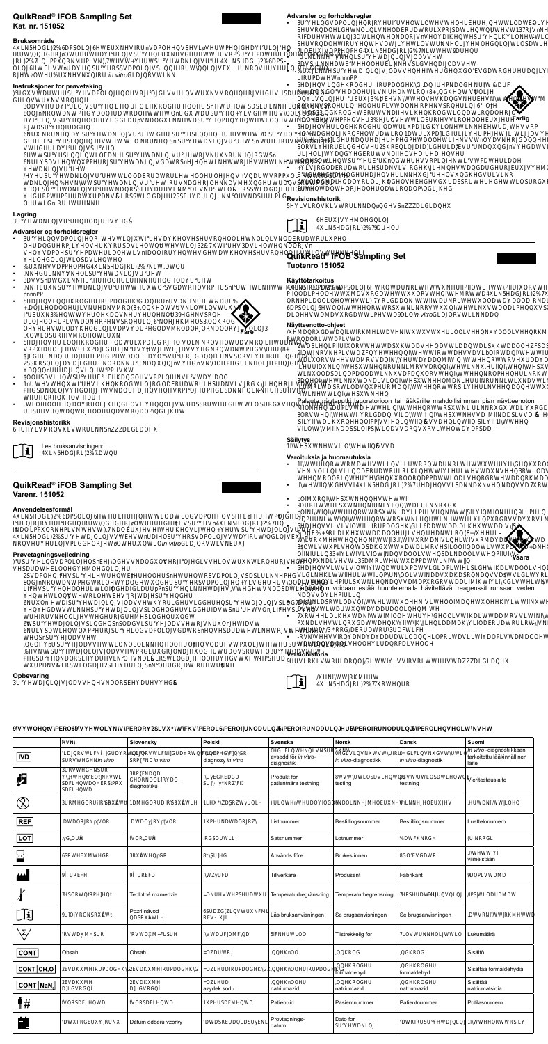| QuikRead® iFOB Sampling Set                                                                                                                                                                                                                                                                                                                                                                                                                                                                                      | Advarsler og forholdsregler                                                                                                                                                                                                                                                         |
|------------------------------------------------------------------------------------------------------------------------------------------------------------------------------------------------------------------------------------------------------------------------------------------------------------------------------------------------------------------------------------------------------------------------------------------------------------------------------------------------------------------|-------------------------------------------------------------------------------------------------------------------------------------------------------------------------------------------------------------------------------------------------------------------------------------|
| Norsk                                                                                                                                                                                                                                                                                                                                                                                                                                                                                                            | <b>BIGDPOLBRMENOWMODDDLEN/BS</b>                                                                                                                                                                                                                                                    |
| Kat. nr. 151052                                                                                                                                                                                                                                                                                                                                                                                                                                                                                                  | <b>SMRDOLMALLV@DRDRUPR\$DVMWWnMAPSRLW</b>                                                                                                                                                                                                                                           |
| <b>Bruksområde</b>                                                                                                                                                                                                                                                                                                                                                                                                                                                                                               | RFDMMMDMMMRVnVODMEKOMOOMMG                                                                                                                                                                                                                                                          |
| <b>#N5HDGL2DPSOLQHWEUNHVIRUnVDPOHHQVSHVLVHUWPHQGHDIULQHQ</b>                                                                                                                                                                                                                                                                                                                                                                                                                                                     | <b>SMRDORMONYOVINLEMENOSDIVW</b>                                                                                                                                                                                                                                                    |
| IRUWQQHGHROWUHUWHDIULQVSUHQEUNHVGHUHWWHUVRPSUHPDWHULDOHWLOLN5HDOLOLNUWDDVVW                                                                                                                                                                                                                                                                                                                                                                                                                                      | <b>LONDPPRESSIBLINGH</b>                                                                                                                                                                                                                                                            |
| RL2HQLPPQRNHPLVNWHVWHUWSUHWDNLQVUUL&N5HDGL2DPS-                                                                                                                                                                                                                                                                                                                                                                                                                                                                  | <b>BVSnLNMONSLGBDDVVW</b>                                                                                                                                                                                                                                                           |
| OLMEMOBRISSVDPOLVSL <b>RLWB</b> V <b>LLVPLO</b>                                                                                                                                                                                                                                                                                                                                                                                                                                                                  | <b>WARUVODVVIGNEGRABURALAKV</b>                                                                                                                                                                                                                                                     |
| RHMRUn vitro                                                                                                                                                                                                                                                                                                                                                                                                                                                                                                     | <b>LRBDMMnnPP</b>                                                                                                                                                                                                                                                                   |
| Instruksjoner for prøvetaking<br>UGVWDUWHUSUHVDPOLQHQOHVRIOGLVVHLQVWUNVRQHQHRVHGHVHSDUDWHELO-<br><b>BVMRIH</b><br><b>SDVVEDLASHEEOGOOS nEEDSLUNDEV</b><br><b>8 RDRO DRDOWDSHV WOLDRG</b><br>DUNSBOEDPANOGRASENDANENU<br><b>RIMSERS</b><br><b>DEAD SEALWARESLHEANERY SHEET</b>                                                                                                                                                                                                                                    | <b>BAIL BOBREDO SO BDO SODE</b><br><b>30 GAIROO FINIBING (SBADFIN</b><br><b>DLVLINGWMBCHOWMM</b><br><b><i>3 MSRUBOLD LVD RRP MSRUDH</i></b><br><b>MSBOBMAHLROMODIRDORDR-</b><br>Farlig<br><b>NOMPPOVMMOSRHVLROOM</b><br><b>BUHKOBUPDLGOMMUNRP</b><br>NDOLRFEANRDUPDLGUERHANDVENDARG |
| <b>EHSBILIMMANO RISSI SEALW LES MERVISIOL H</b><br><b>VEDLWSH</b><br><b>BUBLIND BIRGINA BIRGING MENGENAL BIRGING MENGENAL BIRGINAL BIRGINAL BIRGINAL BIRGINAL BIRGINAL BIRGINAL BIRGIN</b><br><b>NSDVLFAPELSEAN/GRSnLHRUHLHRA</b> SU<br><b>EANWA</b><br><b>BEAVMOODRDRUMOOM</b> nVDWRPPOLUH<br><b>DAMMANYMANGORVIN</b> VSRW<br><b>HSEANWARSSENLMANSKOLRSSKOGHOOH</b><br><b>BPPASE BODNLRSSMO GENSELUL MIMINSHPLG</b>                                                                                             | <b>VUBBBBBBOOHNVMODVRBN-</b><br>SORVL <b>REGVØREDDLGDENGVBWNORG</b><br><b>UBLING MODALER HE</b><br><b>OOBDLOGESWRPLEWPDLOOH</b><br><b>LVRGDRDRUSDMLVRBMDGBBGGBM</b><br><b>BBBWLEKKUVLR</b><br><b>WODBBOROL®VBGSSRWOSBE@OU</b><br><b>SVEIREDOBLARDOPEES</b>                          |
| <b>ORMORRING</b>                                                                                                                                                                                                                                                                                                                                                                                                                                                                                                 | <b>Revisionshistorik</b>                                                                                                                                                                                                                                                            |
| Lagring                                                                                                                                                                                                                                                                                                                                                                                                                                                                                                          | 5HLVLRQVKLVWRULNNDQQGHVSnDLGLDQH                                                                                                                                                                                                                                                    |
| <b>BHWDNLQVUUHQHODUHVHG</b>                                                                                                                                                                                                                                                                                                                                                                                                                                                                                      | <b>HEUVHOHGQLQ</b>                                                                                                                                                                                                                                                                  |
| Advarsler og forholdsregler                                                                                                                                                                                                                                                                                                                                                                                                                                                                                      | $\mathbf i$                                                                                                                                                                                                                                                                         |
| BNDPOLRWINMUDGYSMROOLMULLVNDRDRUPO-                                                                                                                                                                                                                                                                                                                                                                                                                                                                              | <b><i>EN5HDGRL2DUHQU</i></b>                                                                                                                                                                                                                                                        |
| <b>OBBPUBVRSDVLMMMBVLMRVn</b><br>VBVDPOSEDLOOLWnDOORMANWVSLARBOUMOVMLJ<br><b>HOBMOSDVLHV</b><br><b>MOPPHERICLINDAN</b><br><b>BANGENATA</b>                                                                                                                                                                                                                                                                                                                                                                       | QuikRead® iFOB Sampling Set<br><b>Suomi</b><br>Tuotenro 151052                                                                                                                                                                                                                      |
| <b>BVVSnDLABOBLA</b>                                                                                                                                                                                                                                                                                                                                                                                                                                                                                             | Käyttötarkoitus                                                                                                                                                                                                                                                                     |
| <b>BEAV LASVGRARP BRUKABEDW</b>                                                                                                                                                                                                                                                                                                                                                                                                                                                                                  | <b>#N5HDGL2DPSOLQHWRQWDUNRLWHWWNHUIIPIIQWLHWWPIIUIORVWHWWDDV</b>                                                                                                                                                                                                                    |
| nnnnPP                                                                                                                                                                                                                                                                                                                                                                                                                                                                                                           | PIIODLPEWVRGIARVESTIOLSIGLØRVEPP-                                                                                                                                                                                                                                                   |
| <b>BULROBBDOGRUNDER%</b>                                                                                                                                                                                                                                                                                                                                                                                                                                                                                         | RNLDOOLWWRLGDNWAILWOODDOOOD-RNLLHGC%                                                                                                                                                                                                                                                |
| <b>DUBOOHNUMMR(WANDIWM)</b>                                                                                                                                                                                                                                                                                                                                                                                                                                                                                      | DPSOLUMMASMARVUMMOODLPMSVMVDVILOW                                                                                                                                                                                                                                                   |
| <b>BUDBSRH</b>                                                                                                                                                                                                                                                                                                                                                                                                                                                                                                   | <b>DLMDDVRGVPMDDLin vitroW</b>                                                                                                                                                                                                                                                      |
| <b>LEDOELVDAPMSREDIELSROG</b>                                                                                                                                                                                                                                                                                                                                                                                                                                                                                    | Näytteenotto-ohjeet                                                                                                                                                                                                                                                                 |
| OMMODKUVDPVDDBVRDORORNOORUL3<br>Fare<br><b>NOSBHRIBIEN</b><br>BULLROBDUPDLG.NOLNAVEWREM                                                                                                                                                                                                                                                                                                                                                                                                                          | HDQRGDWDQILWIRKHLWDVHNIWWVWHULOOLVHHQNDOOLVHHQRKHHVHHQHQQH<br><b>RRDORLMPLVM</b>                                                                                                                                                                                                    |
| VRPDOLDWPDLGWWWWDVVBDARGHS                                                                                                                                                                                                                                                                                                                                                                                                                                                                                       | <b>DASLEPIILORVEASEADVEIVMODDLSEADOOFISDSEOOEVLVIOO</b>                                                                                                                                                                                                                             |
| LEND ENERGIAOOL DOSVURLGHNASORVLHREGEN VEH                                                                                                                                                                                                                                                                                                                                                                                                                                                                       | IONNUNLVDUFNWKDMVDVLbOIRDNMUSOLORVMUDV                                                                                                                                                                                                                                              |
| <b>SSRSLDDLBNRDNdVBVNORBNLPB</b>                                                                                                                                                                                                                                                                                                                                                                                                                                                                                 | <b>DLORVMDRVVDINDDNARVEDDDORVVND</b>                                                                                                                                                                                                                                                |
| <b>DUBANDAM</b>                                                                                                                                                                                                                                                                                                                                                                                                                                                                                                  | LHONEMARVVDRIMENT                                                                                                                                                                                                                                                                   |
| <b>OOBDVLEEGHVRPLMLVDDOO</b>                                                                                                                                                                                                                                                                                                                                                                                                                                                                                     | <b>WOODSDLDPDOODWNDPDORVLOPLRKAD</b>                                                                                                                                                                                                                                                |
| $\bullet$                                                                                                                                                                                                                                                                                                                                                                                                                                                                                                        | BHANDLVLIBINAHROVMULL                                                                                                                                                                                                                                                               |
| <b>MUMULROGORGDRDRUGDNLVRGERIVDPVDU</b>                                                                                                                                                                                                                                                                                                                                                                                                                                                                          | LGILD/SRKODVPEIDIRIRASILIEMENKKA DINLLIV                                                                                                                                                                                                                                            |
| <b>PSDAVOWAOBWMRPDEBSDNEWH</b>                                                                                                                                                                                                                                                                                                                                                                                                                                                                                   | <b>LAKANGUN</b>                                                                                                                                                                                                                                                                     |
| <b>BASI</b> ∨BH                                                                                                                                                                                                                                                                                                                                                                                                                                                                                                  | Palauta näyteputki laboratorioon tai lääkärille mahdollisimman pian näytteenoton                                                                                                                                                                                                    |
| WOBOHDOROLSOVHOLYWISSRIMMO SEKSHOKS                                                                                                                                                                                                                                                                                                                                                                                                                                                                              | MONDELVD/WURKASNAURGAL RG NOMEDLND                                                                                                                                                                                                                                                  |
| <b>BLARABOBVRDOPGAV</b>                                                                                                                                                                                                                                                                                                                                                                                                                                                                                          | <b>6 RVEERLOD VILOWELMEVD NODSLVVD HAV</b>                                                                                                                                                                                                                                          |
| Revisjonshistorikk                                                                                                                                                                                                                                                                                                                                                                                                                                                                                               | SILII DL REIPPVVI HAVVD HASILII HAV                                                                                                                                                                                                                                                 |
| HUHLVRQVKLVWRULNNSnDLGLDQH                                                                                                                                                                                                                                                                                                                                                                                                                                                                                       | <b>VILOWINDSSLOIPSMODVVDRVRVLEMMOPSDD</b>                                                                                                                                                                                                                                           |
| Les bruksanvisningen:<br>$ \mathbf{i} $<br>LEGELEAW                                                                                                                                                                                                                                                                                                                                                                                                                                                              | Säilytys<br><b>1IWHSWNHWVILOWHWIIQVVD</b>                                                                                                                                                                                                                                           |
|                                                                                                                                                                                                                                                                                                                                                                                                                                                                                                                  | Varoituksia ja huomautuksia<br><b>INARDIMILY VLLEARDAILESOORDPPDLYODLVBOV</b><br>VNOLLLVLLODRDRURLKMUMMAMODVRLPVLWRDDIW<br>MOORLACOORDPPDWODLVRBLADRKDDSRWODVDULWWW                                                                                                                 |
| QuikRead® iFOB Sampling Set                                                                                                                                                                                                                                                                                                                                                                                                                                                                                      | <b>IMMSVILBIGRL%BUNVLSDDNIBIVVDRBU</b>                                                                                                                                                                                                                                              |
| <b>Dansk</b>                                                                                                                                                                                                                                                                                                                                                                                                                                                                                                     | $\bullet$                                                                                                                                                                                                                                                                           |
| <b>Varenr. 151052</b>                                                                                                                                                                                                                                                                                                                                                                                                                                                                                            | <b>DOIRIBLANTA</b>                                                                                                                                                                                                                                                                  |
| Anvendelsesformål<br><b>#N5HDGL2DPSOLQHWHUEHUHQHWWLODWLQGVDPOHHQVSHFLFHUHWPQGHDI-</b><br><b>LURRBBBLODEMSMILBLOGLEM</b>                                                                                                                                                                                                                                                                                                                                                                                          | <b>DREAS MAILDALLING</b><br><b>boinnarsMollPhVNAUMONLPHNAU</b><br><b>RPNNIASMAKKPRGVVDRVLN</b><br><b>BUYVL VLVIOW REDOG DDDOD DLEAD VSII</b>                                                                                                                                        |
| <b>NO LPPRRLVMWN BHANL MARCHUVU</b><br>LNGSABUJV MEMORIENS V DPOLJV VDRIGIVEN<br><b>RVUVPLORINGO</b> in vitro                                                                                                                                                                                                                                                                                                                                                                                                    | DE REDLEAD DOOL VENTRICH-<br><b><i>WRESTARDIVLEWRDDDWD</i></b><br><b>GLWPLVEASDEADLRVSILOOIIDOLWPLVDIDB</b><br>OIINLE INLVIONWDOOLVEDLNOOLVEHIIV-                                                                                                                                   |
| Prøvetagningsvejledning<br><b>USUHLQGVDPOLQHQSnEHQGHVVNDOGOVHRIOHGLVVHLQVWUNWLRQHURVHGH</b><br><b>VHSDUDWHELOOHGHOHGQLQHU</b><br>2SVDPOHQIFHVSUHLHWUHQWEHUHOOHUSnHWUHQWRSVDPOLQVSDSLULNNHPHG VLGMMAPNOLVINDVDKSRNVVDWLGALDEARLGPEO-<br>QGnNRQWDNWPHGWRLOHWDQGHWQGHUSUHRSVDPOLQHQLVGHUHUVQOLWEORGLVLPILSMSVVDDIPRBVDDLMMBVLMMLCBLLH<br>LIFHVSUHQHOOHULWLOIOGHDIGLDUUpPnSUHQLNNHWDHVVWHGHWVNDOSDWLHQWHQtoihin voidaan estää huuhtelemalla hävitettävät reagenssit runsaan veden<br>HQWHWLOQVWHWRLOHWEHVRWDHSUHQGHU | Vaara<br><b>FADLVMMSRLDAPPDMWV</b><br><b>BUVLWLVIOWDUPDWLGDPLMSLLBOLDOOLVBDUPDW</b><br><b>NVVDLAIUL</b>                                                                                                                                                                             |
| NUOnHWDISUHWDQLQVODVVHWKRULGHUVLGGHUHQSUHWDQLQVSLQGDSU-                                                                                                                                                                                                                                                                                                                                                                                                                                                          | <b>DLNDSRI/ODVILWONVLGOIDIAMMERORILHDBO</b>                                                                                                                                                                                                                                         |
| <b>BWWNBUVSLBLBV&amp;AMOnUFMSH</b>                                                                                                                                                                                                                                                                                                                                                                                                                                                                               | <b>OLVMAXIMODDOOLIMM</b>                                                                                                                                                                                                                                                            |
| <b>BIVISIOLWENSILEY</b>                                                                                                                                                                                                                                                                                                                                                                                                                                                                                          | READLEAN YOO BAOLVARALIAD RIV VLAMPARASS                                                                                                                                                                                                                                            |
| <b>BELLYSLENSODGLSENDVVRWDNEWW</b>                                                                                                                                                                                                                                                                                                                                                                                                                                                                               | PNLVMWRGDMAMEDDDIKJODRDRURWANSHDDW                                                                                                                                                                                                                                                  |
| NSDKWPBLSHGDPOLYGRSnMSDDLWRVLWW                                                                                                                                                                                                                                                                                                                                                                                                                                                                                  | <b>LOURROBORSFLVFH</b>                                                                                                                                                                                                                                                              |
| <b>BASEDVVHV</b>                                                                                                                                                                                                                                                                                                                                                                                                                                                                                                 |                                                                                                                                                                                                                                                                                     |
| <b>GPISED DAMA DELTE OE PILDA LOCALISTICITI</b><br><b>MARIALIVODVVFARBONIAVSRIBIDVVHV</b><br><b>PENRSEM_NOMITRSVOGHOMMASE</b><br><b>BIDMLRSMOGBHBLUSnNGUDRM</b>                                                                                                                                                                                                                                                                                                                                                  | <b>DANYDOOLVOOHDRPDLVOOH</b><br>Versiohistoria<br><b>HUVLRKLVWRULDRQOGHWWILVVIRVRLWWHHVWDDLGLDQH</b>                                                                                                                                                                                |
| Opbevaring<br><b>SHWDQLQVODVVHQHVNDORSEHDUHVHG</b>                                                                                                                                                                                                                                                                                                                                                                                                                                                               | <b>MIP</b><br>انا<br><b>M56</b>                                                                                                                                                                                                                                                     |

Slovensky Polski Svenska Norsk Dansk Suomi In vitro-diagnostiikkaan<br>tarkoitettu lääkinnällinen<br>laite www.communistyle.com<br>with the vitro-<br>diagnostik LDQRVWLFNGUDRWQLF diagnozy *in vitro* **B**VLV**MBU**<br>*in vitro*-diagnostikk **BFLVMWD**<br>*in vitro-*diagnostik  $|ND|$ in vitro **BURGER<br>BURGER<br>MANNET BERVION<br>SDFLEM**<br>SDFLEM **RPFND<br>ORNOLRD**<br>diagnostiku :**yBBG**<br>S&lyRFK Produkt för<br>patientnära testning **WADSDVLM**<br>testing **BLADSDLAW**<br>testning įĀ Vieritestauslaite  $\circledS$ **ILBUSRYILH BIGILR**p SRAW DRIDRP SRAWH **LMENGV NOLS OLU EANY REF** Bestillingsnummer PNDORR **DIAORRptVOR** DDOyRptVOR Listnummer Bestillingsnummer Luettelonumero

| $ $ LOT $ $                                                     | yBH                        | <b>WORDH</b>                     | <b>RSDWL</b>              | Satsnummer                 | Lotnummer               | <b>EXPRES</b>              | <b>URRG</b>                |
|-----------------------------------------------------------------|----------------------------|----------------------------------|---------------------------|----------------------------|-------------------------|----------------------------|----------------------------|
| 묩                                                               | <b>SRM</b>                 | <b>RabiB</b>                     | 8S <sub>B</sub>           | Används före               | Brukes innen            | <b>GEGR/</b>               | <b>IWV</b><br>viimeistään  |
| الممم                                                           | <b>BLEH</b>                | <b>BED</b>                       | :Vijd                     | Tillverkare                | Produsent               | Fabrikant                  | <b>DOPLVDD</b>             |
| $\lambda$                                                       | <b>BORWRPH</b>             | Teplotné rozmedzie               | <b>DMPASEW</b>            | Temperaturbegränsning      | Temperaturbegrensning   | <b>BULJ</b><br><b>RSBW</b> | <b>IPSLODDDIW</b>          |
| $\Box$                                                          | <b>LiRGRAW</b>             | Pozri návod<br><b>DSR&amp;WH</b> | <b>SDGVEW</b><br>REál     | Läs bruksanvisningen       | Se brugsanvisningen     | Se brugsanvisningen        | <b>DWRING</b>              |
| $\overline{\mathcal{L}}$                                        | <b>RVMMR</b>               | <b>RVDMLSH</b>                   | :VDGDFD                   | <b>FMOO</b>                | Tilstrekkelig for       | LOVEM MO                   | Lukumäärä                  |
| $ $ CONT $ $                                                    | Obsah                      | Obsah                            | <b>DDRU</b>               | <b>MOO</b>                 | <b>ROG</b>              | <b>BOG</b>                 | Sisältö                    |
| $ \texttt{CONT} \texttt{CH}_{\scriptscriptstyle{2}}\texttt{O} $ | <b>EDNBDOS</b>             | <b>NDMBDOG</b>                   | <b>DLBRBDOK</b>           | <b>MOORBDOK</b>            | ROB<br>formaldehyd      | <b>BOB</b><br>formaldehyd  | Sisältää formaldehydiä     |
| CONT NaN,                                                       | <b>NOM</b><br><b>DLGRG</b> | RDM<br><b>DLGRE</b>              | <b>DLB</b><br>azydek sodu | <b>KOOH</b><br>natriumazid | ROB<br>natriumazid      | <b>BOB</b><br>natriumazid  | Sisältää<br>natriumatsidia |
| $\mathbf{r}$                                                    | <b>WORSDFLEY</b>           | <b>WORSDFLEW</b>                 | PODFEW                    | Patient-id                 | Pasientnummer           | Patientnummer              | Potilasnumero              |
| 藟                                                               | <b>DRRBN</b>               | Dátum odberu vzorky              | <b>DDASRELDSWE</b>        | Provtagnings-<br>datum     | Dato for<br><b>SENJ</b> | <b>DRRSHUJ</b>             | <b>INJASILI</b>            |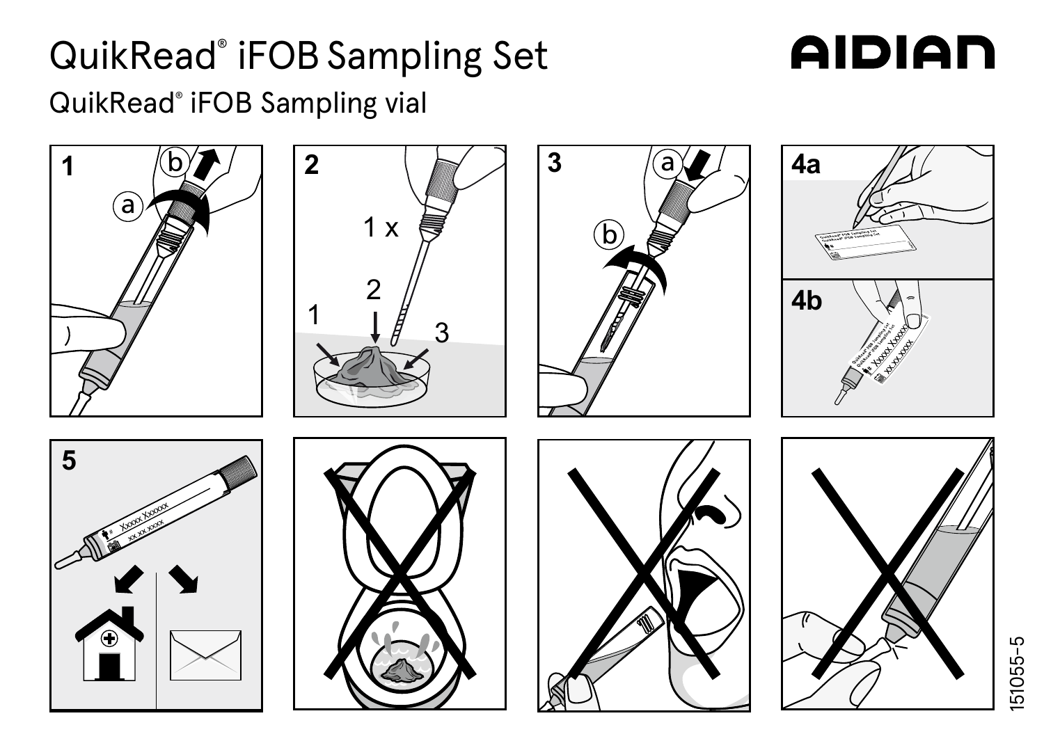## QuikRead® iFOBSampling Set

## **AIDIAN**

QuikRead® iFOB Sampling vial